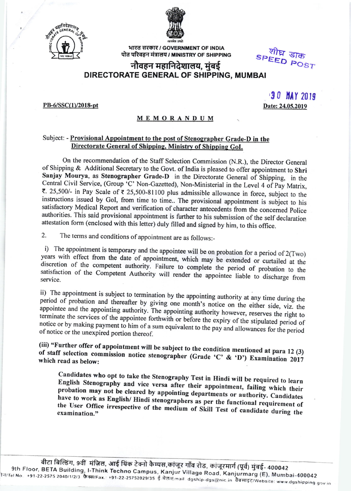



भारत सरकार / GOVERNMENT OF INDIA पोत परिवहन मंत्रालय / MINISTRY OF SHIPPING

speed POST<br>अभि डाक

## नौवहन महानिदेशालय, मुंबई DIRECTORATE GENERAL OF SHIPPING, MUMBAI

## PB-6/SSC(1)/2018-pt

 $30$  MAY 2019 Date: 24.05.2019

## MEMORANDUM

## Subject: - Provisional Appointment to the post of Stenographer Grade-D in the Directorate General of Shipping, Ministry of Shipping GoI.

On the recommendation of the Staff Selection Commission (N.R.), the Director General of Shipping & Additional Secretary to the Govt. of India is pleased to offer appointment to Shri Sanjay Mourya, as Stenographer Grade-D in the Directorate General of Shipping, in the Central Civil Service, (Group 'C' Non-Gazetted), Non-Ministerial in the Level 4 of Pay Matrix,  $\bar{\tau}$ . 25,500/- in Pay Scale of  $\bar{\tau}$  25,500-81100 plus admissible allowance in force, subject to the instructions issued by GoI, from time to time.. The provisional appointment is subject to his satisfactory Medical Report and verification of character antecedents from the concerned Police authorities. This said provisional appointment is further to his submission of the self declaration attestation form (enclosed with this letter) duly filled and signed by him, to this office.

2. The terms and conditions of appointment are as follows:-

i) The appointment is temporary and the appointee will be on probation for a period of  $2(Two)$  years with effect from the date of appointment, which may be extended or curtailed at the discretion of the competent authority satisfaction of the Competent Authority will render the appointee liable to discharge from

period of probation ii) The appointment is subject to termination by the appointing authority at any time during the and thereafter by giving one month's notice on the either side, viz. the appointee and the appointing authority. The appointing authority however, reserves the right to appointee and the appointing authority. The appointing authority however, reserves the right to<br>terminate the services of the appointee forthwith or before the expiry of the stipulated period of expiry of the stipulated per notice or by making payment to him of a sum equivalent to the pay and allowances for the period of notice or the unexpired portion thereof.

(iii) "Further offer of appointment will be subject to the condition mentioned at para 12 (3) of staff (iii) "Further offer of appointment will be subject to the condition mentioned at para 12 (3) of staff selection commission notice stenographer (Grade 'C' & 'D') Examination 2017 which read as below:

Candidates who opt to take the Stenography Test in Hindi will be required to learn<br>English Stenography and vice versa after their appointment, failing which their English Stenography and vice versa after their appointment, failing which their probation may not be cleared by appointing departments or authority. Candidates have to work as English/ Hindi stenographers as per the functional requirement of the User Office irrespective of the medium of Skill Test of candidate during the<br>examination."

9th Floor, बीटा बिल्डिंग, 9वीं मंज़िल, आई थिंक टेक्नो<br>BETA Buildi ts1'22'2sts BETA Building, I-Think Techno Campus, Kanjur 2040/1/2/3 .<br>T मंज़िल, आई थिंक टेक्नो कैम्पस,कांजूर गाँव रोड, कांजूरमार्ग (पूर्व) मुंबई- 400042<br>, I-Think Techno Campus, Kanjur Village Road, Kanjurmarg (E), Mumbai-400042<br>क्रैक्स/Fax : +91-22-25752029/35 ई-मेल/Email: dgship-dgs@nic www.dgshipping.gov.in